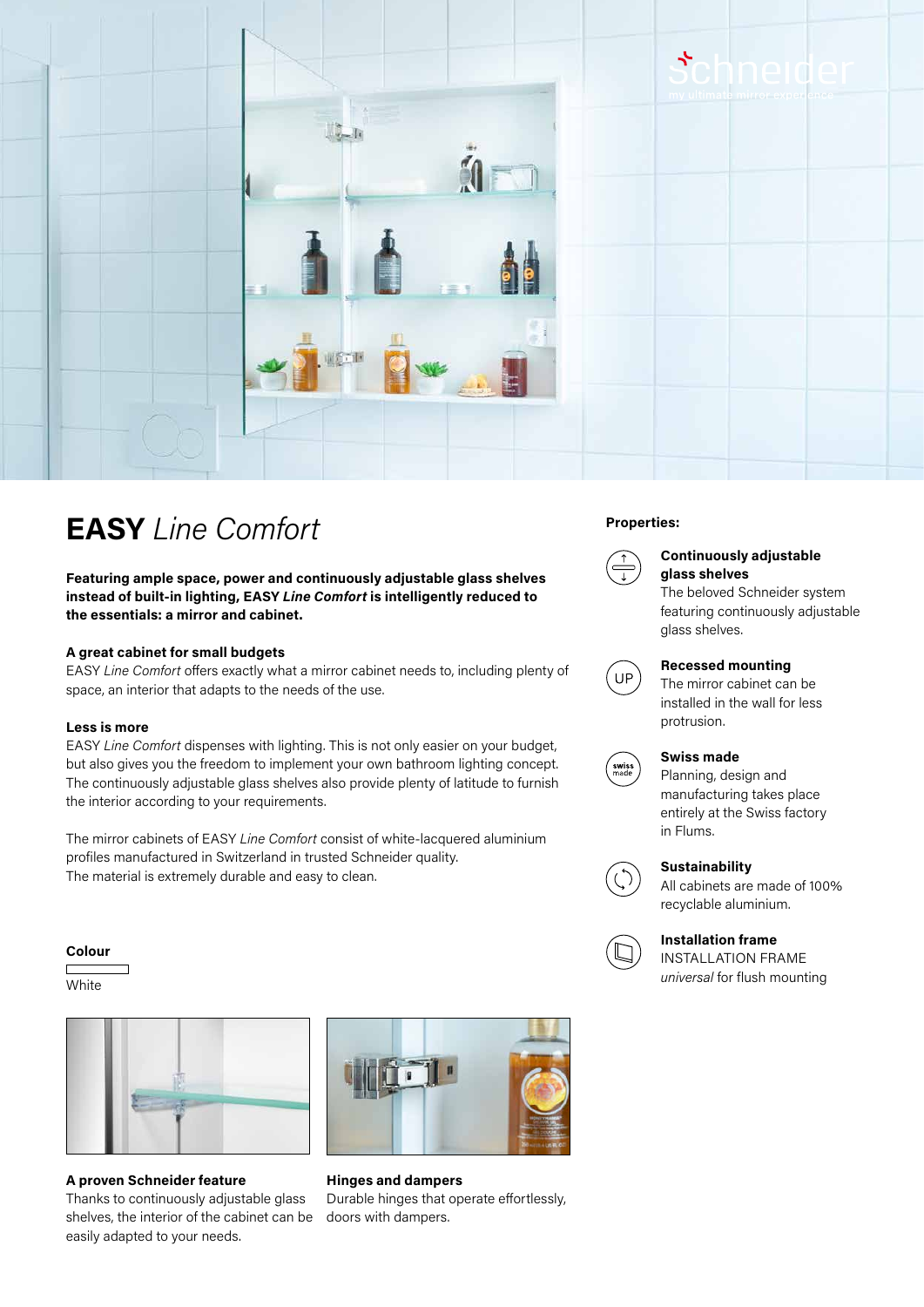

# **Properties: EASY** *Line Comfort*

**Featuring ample space, power and continuously adjustable glass shelves instead of built-in lighting, EASY** *Line Comfort* **is intelligently reduced to the essentials: a mirror and cabinet.**

#### **A great cabinet for small budgets**

EASY *Line Comfort* offers exactly what a mirror cabinet needs to, including plenty of space, an interior that adapts to the needs of the use.

#### **Less is more**

EASY *Line Comfort* dispenses with lighting. This is not only easier on your budget, but also gives you the freedom to implement your own bathroom lighting concept. The continuously adjustable glass shelves also provide plenty of latitude to furnish the interior according to your requirements.

The mirror cabinets of EASY *Line Comfort* consist of white-lacquered aluminium profiles manufactured in Switzerland in trusted Schneider quality. The material is extremely durable and easy to clean.

#### **Colour**

**White** 



## **A proven Schneider feature**

Thanks to continuously adjustable glass shelves, the interior of the cabinet can be easily adapted to your needs.



**Hinges and dampers** Durable hinges that operate effortlessly, doors with dampers.



# **Continuously adjustable glass shelves**

The beloved Schneider system featuring continuously adjustable glass shelves.



## **Recessed mounting**

The mirror cabinet can be installed in the wall for less protrusion.



#### **Swiss made**

Planning, design and manufacturing takes place entirely at the Swiss factory in Flums.



# **Sustainability**

All cabinets are made of 100% recyclable aluminium.



## **Installation frame**

INSTALLATION FRAME *universal* for flush mounting